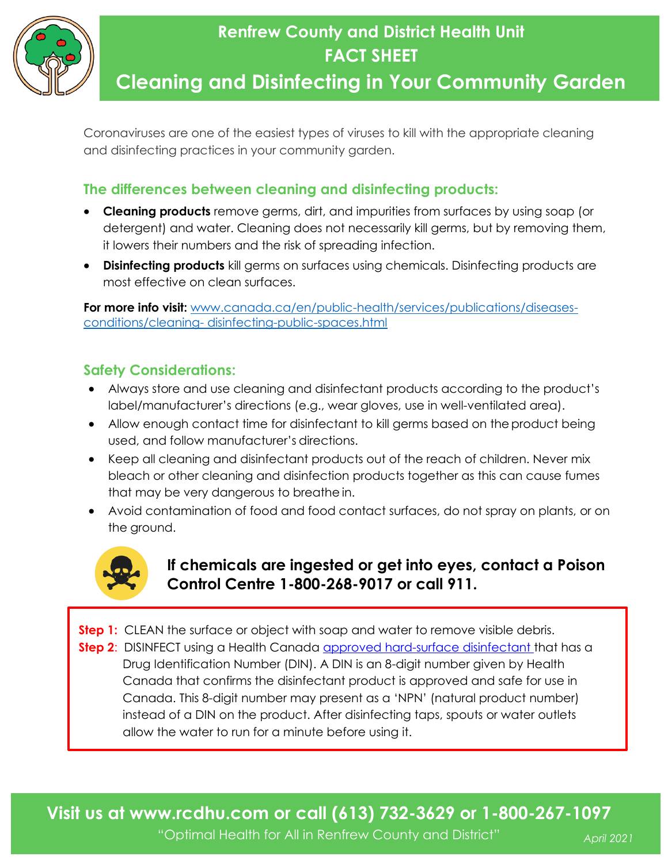

## **Renfrew County and District Health Unit FACT SHEET**

## **Cleaning and Disinfecting in Your Community Garden**

Coronaviruses are one of the easiest types of viruses to kill with the appropriate cleaning and disinfecting practices in your community garden.

### **The differences between cleaning and disinfecting products:**

- **Cleaning products** remove germs, dirt, and impurities from surfaces by using soap (or detergent) and water. Cleaning does not necessarily kill germs, but by removing them, it lowers their numbers and the risk of spreading infection.
- **Disinfecting products** kill germs on surfaces using chemicals. Disinfecting products are most effective on clean surfaces.

**For more info visit:** [www.canada.ca/en/public-health/services/publications/diseases](http://www.canada.ca/en/public-health/services/publications/diseases-conditions/cleaning-disinfecting-public-spaces.html)[conditions/cleaning-](http://www.canada.ca/en/public-health/services/publications/diseases-conditions/cleaning-disinfecting-public-spaces.html) [disinfecting-public-spaces.html](http://www.canada.ca/en/public-health/services/publications/diseases-conditions/cleaning-disinfecting-public-spaces.html)

#### **Safety Considerations:**

- Always store and use cleaning and disinfectant products according to the product's label/manufacturer's directions (e.g., wear gloves, use in well-ventilated area).
- Allow enough contact time for disinfectant to kill germs based on the product being used, and follow manufacturer's directions.
- Keep all cleaning and disinfectant products out of the reach of children. Never mix bleach or other cleaning and disinfection products together as this can cause fumes that may be very dangerous to breathe in.
- Avoid contamination of food and food contact surfaces, do not spray on plants, or on the ground.



### **If chemicals are ingested or get into eyes, contact a Poison Control Centre 1-800-268-9017 or call 911.**

**Step 1:** CLEAN the surface or object with soap and water to remove visible debris. **Step 2:** DISINFECT using a Health Canada [approved hard-surface disinfectant t](https://www.canada.ca/en/health-canada/services/drugs-health-products/disinfectants/covid-19.html)hat has a Drug Identification Number (DIN). A DIN is an 8-digit number given by Health Canada that confirms the disinfectant product is approved and safe for use in Canada. This 8-digit number may present as a 'NPN' (natural product number) instead of a DIN on the product. After disinfecting taps, spouts or water outlets allow the water to run for a minute before using it.

**Visit us at www.rcdhu.com or call (613) 732-3629 or 1-800-267-1097**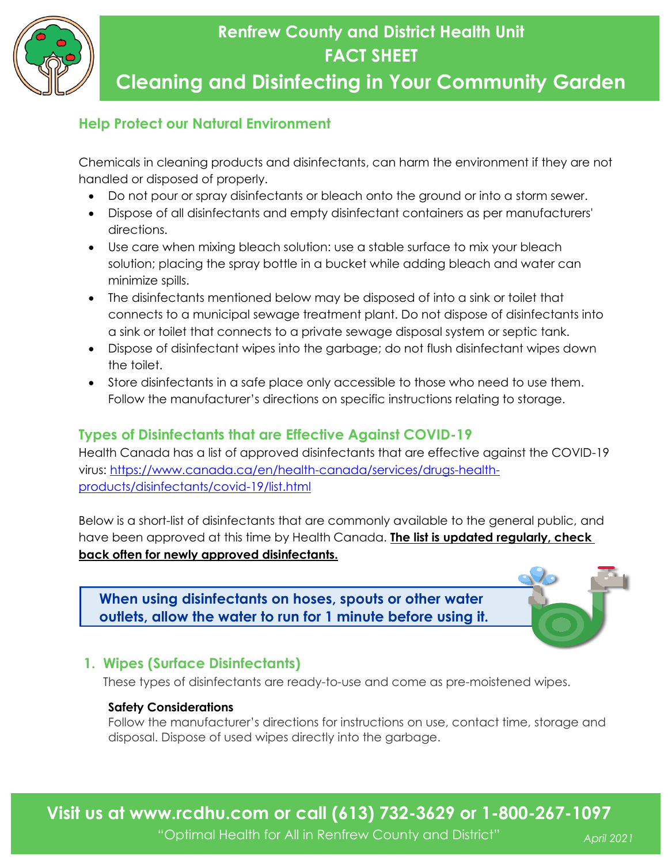

## **Renfrew County and District Health Unit FACT SHEET**

## **Cleaning and Disinfecting in Your Community Garden**

#### **Help Protect our Natural Environment**

Chemicals in cleaning products and disinfectants, can harm the environment if they are not handled or disposed of properly.

- Do not pour or spray disinfectants or bleach onto the ground or into a storm sewer.
- Dispose of all disinfectants and empty disinfectant containers as per manufacturers' directions.
- Use care when mixing bleach solution: use a stable surface to mix your bleach solution; placing the spray bottle in a bucket while adding bleach and water can minimize spills.
- The disinfectants mentioned below may be disposed of into a sink or toilet that connects to a municipal sewage treatment plant. Do not dispose of disinfectants into a sink or toilet that connects to a private sewage disposal system or septic tank.
- Dispose of disinfectant wipes into the garbage; do not flush disinfectant wipes down the toilet.
- Store disinfectants in a safe place only accessible to those who need to use them. Follow the manufacturer's directions on specific instructions relating to storage.

### **Types of Disinfectants that are Effective Against COVID-19**

Health Canada has a list of approved disinfectants that are effective against the COVID-19 virus: [https://www.canada.ca/en/health-canada/services/drugs-health](https://www.canada.ca/en/health-canada/services/drugs-health-products/disinfectants/covid-19/list.html)[products/disinfectants/covid-19/list.html](https://www.canada.ca/en/health-canada/services/drugs-health-products/disinfectants/covid-19/list.html)

Below is a short-list of disinfectants that are commonly available to the general public, and have been approved at this time by Health Canada. **The list is updated regularly, check back often for newly approved disinfectants.**

**When using disinfectants on hoses, spouts or other water outlets, allow the water to run for 1 minute before using it.**



### **1. Wipes (Surface Disinfectants)**

These types of disinfectants are ready-to-use and come as pre-moistened wipes.

#### **Safety Considerations**

Follow the manufacturer's directions for instructions on use, contact time, storage and disposal. Dispose of used wipes directly into the garbage.

**Visit us at www.rcdhu.com or call (613) 732-3629 or 1-800-267-1097**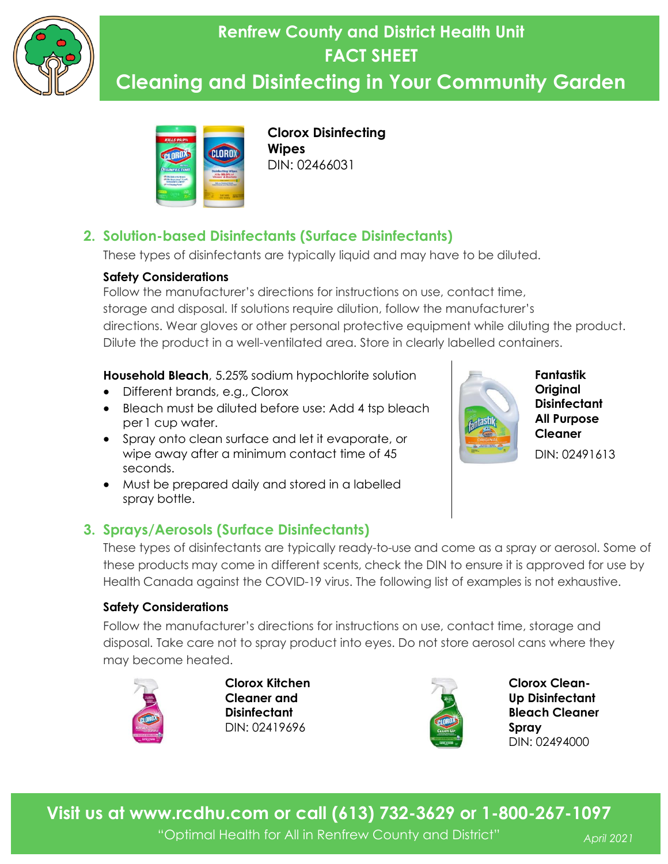

## **Renfrew County and District Health Unit FACT SHEET Cleaning and Disinfecting in Your Community Garden**



**Clorox Disinfecting Wipes** DIN: 02466031

### **2. Solution-based Disinfectants (Surface Disinfectants)**

These types of disinfectants are typically liquid and may have to be diluted.

#### **Safety Considerations**

Follow the manufacturer's directions for instructions on use, contact time, storage and disposal. If solutions require dilution, follow the manufacturer's directions. Wear gloves or other personal protective equipment while diluting the product. Dilute the product in a well-ventilated area. Store in clearly labelled containers.

**Household Bleach**, 5.25% sodium hypochlorite solution

- Different brands, e.g., Clorox
- Bleach must be diluted before use: Add 4 tsp bleach per 1 cup water.
- Spray onto clean surface and let it evaporate, or wipe away after a minimum contact time of 45 seconds.
- Must be prepared daily and stored in a labelled spray bottle.





**Fantastik Original Disinfectant All Purpose Cleaner**  DIN: 02491613

These types of disinfectants are typically ready-to-use and come as a spray or aerosol. Some of these products may come in different scents, check the DIN to ensure it is approved for use by Health Canada against the COVID-19 virus. The following list of examples is not exhaustive.

#### **Safety Considerations**

Follow the manufacturer's directions for instructions on use, contact time, storage and disposal. Take care not to spray product into eyes. Do not store aerosol cans where they may become heated.



**Clorox Kitchen Cleaner and Disinfectant** DIN: 02419696



**Clorox Clean-Up Disinfectant Bleach Cleaner Spray** DIN: 02494000

**Visit us at www.rcdhu.com or call (613) 732-3629 or 1-800-267-1097**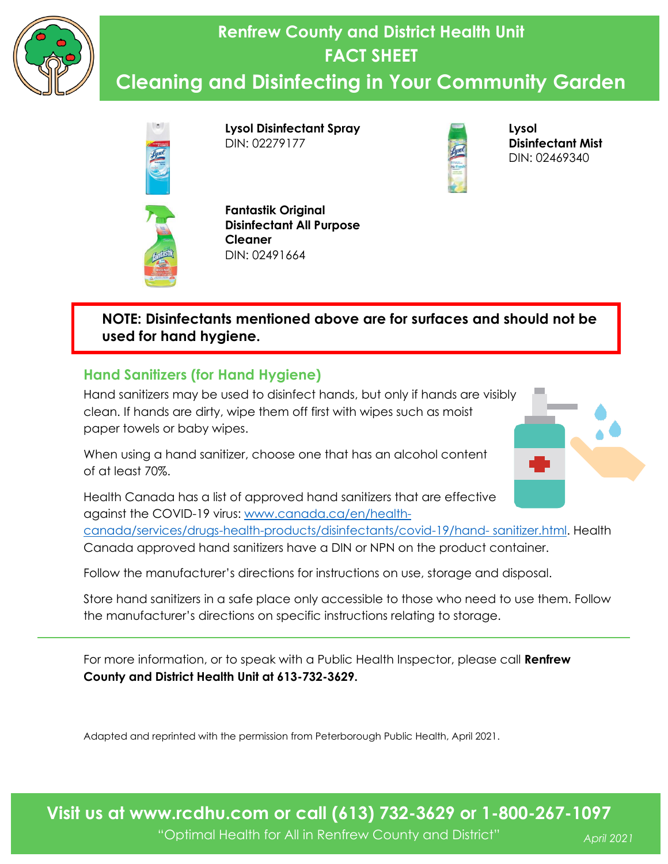

# **Renfrew County and District Health Unit FACT SHEET**

## **Cleaning and Disinfecting in Your Community Garden**



**Lysol Disinfectant Spray** DIN: 02279177

**Fantastik Original** 

DIN: 02491664

**Cleaner**

**Disinfectant All Purpose** 



**Lysol Disinfectant Mist** DIN: 02469340



#### **NOTE: Disinfectants mentioned above are for surfaces and should not be used for hand hygiene.**

### **Hand Sanitizers (for Hand Hygiene)**

Hand sanitizers may be used to disinfect hands, but only if hands are visibly clean. If hands are dirty, wipe them off first with wipes such as moist paper towels or baby wipes.

When using a hand sanitizer, choose one that has an alcohol content of at least 70%.



Health Canada has a list of approved hand sanitizers that are effective against the COVID-19 virus: [www.canada.ca/en/health-](http://www.canada.ca/en/health-canada/services/drugs-health-products/disinfectants/covid-19/hand-sanitizer.html)

[canada/services/drugs-health-products/disinfectants/covid-19/hand-](http://www.canada.ca/en/health-canada/services/drugs-health-products/disinfectants/covid-19/hand-sanitizer.html) [sanitizer.html.](http://www.canada.ca/en/health-canada/services/drugs-health-products/disinfectants/covid-19/hand-sanitizer.html) Health Canada approved hand sanitizers have a DIN or NPN on the product container.

Follow the manufacturer's directions for instructions on use, storage and disposal.

Store hand sanitizers in a safe place only accessible to those who need to use them. Follow the manufacturer's directions on specific instructions relating to storage.

For more information, or to speak with a Public Health Inspector, please call **Renfrew County and District Health Unit at 613-732-3629.**

Adapted and reprinted with the permission from Peterborough Public Health, April 2021.

**Visit us at www.rcdhu.com or call (613) 732-3629 or 1-800-267-1097**